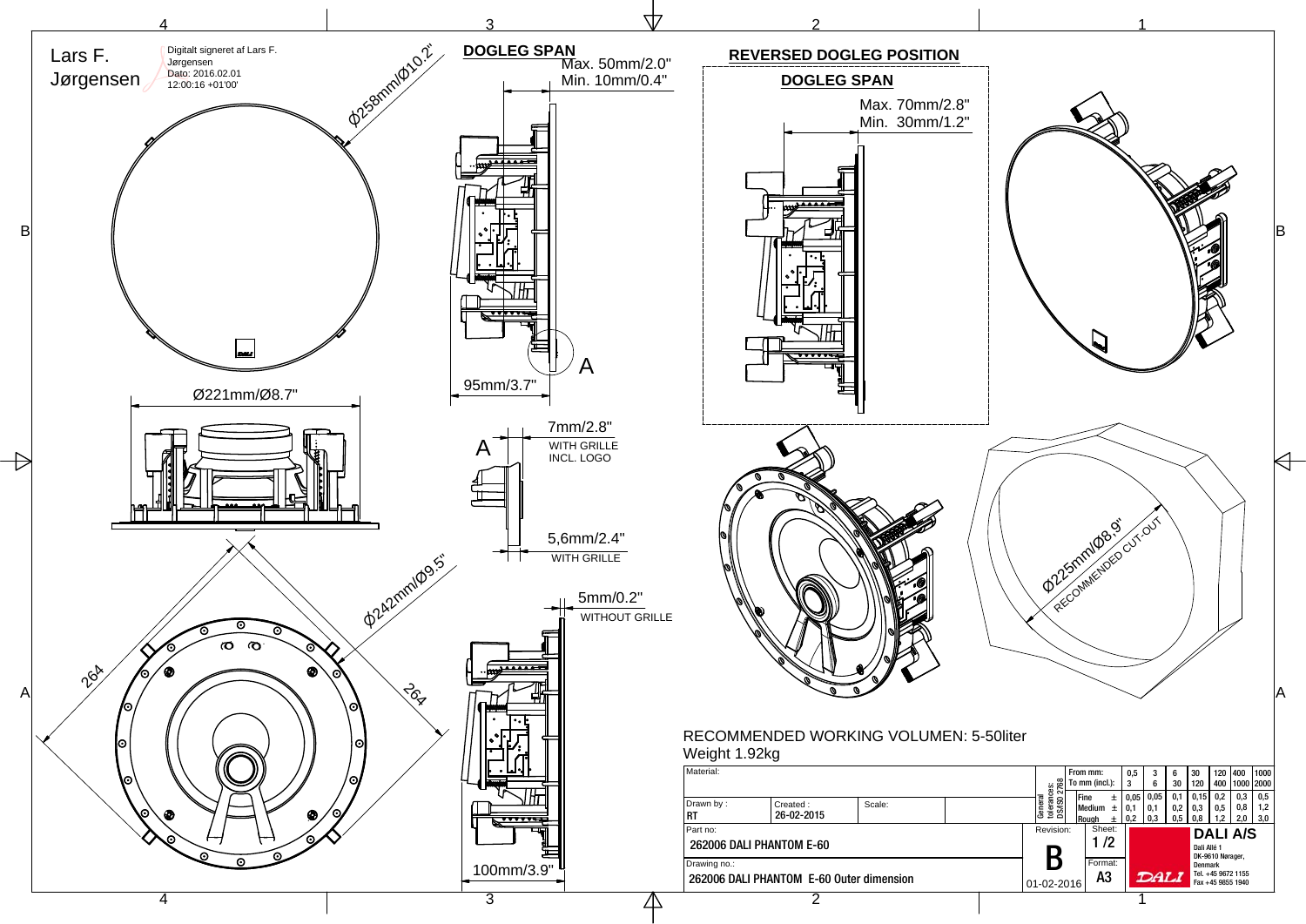